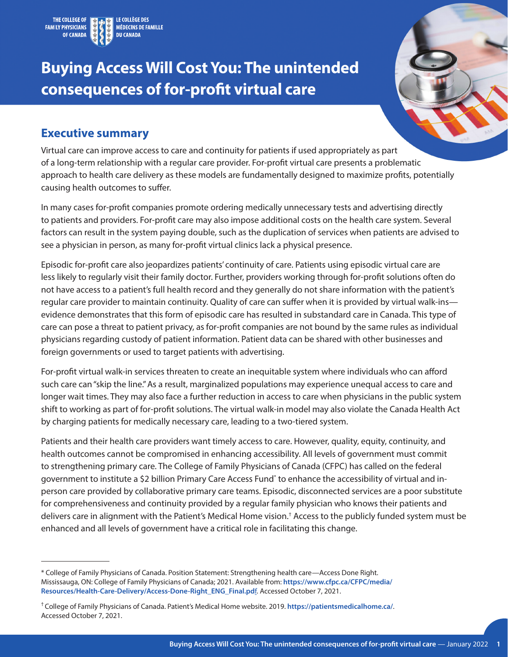

# **Buying Access Will Cost You: The unintended consequences of for-profit virtual care**



#### **Executive summary**

Virtual care can improve access to care and continuity for patients if used appropriately as part of a long-term relationship with a regular care provider. For-profit virtual care presents a problematic approach to health care delivery as these models are fundamentally designed to maximize profits, potentially causing health outcomes to suffer.

In many cases for-profit companies promote ordering medically unnecessary tests and advertising directly to patients and providers. For-profit care may also impose additional costs on the health care system. Several factors can result in the system paying double, such as the duplication of services when patients are advised to see a physician in person, as many for-profit virtual clinics lack a physical presence.

Episodic for-profit care also jeopardizes patients' continuity of care. Patients using episodic virtual care are less likely to regularly visit their family doctor. Further, providers working through for-profit solutions often do not have access to a patient's full health record and they generally do not share information with the patient's regular care provider to maintain continuity. Quality of care can suffer when it is provided by virtual walk-ins evidence demonstrates that this form of episodic care has resulted in substandard care in Canada. This type of care can pose a threat to patient privacy, as for-profit companies are not bound by the same rules as individual physicians regarding custody of patient information. Patient data can be shared with other businesses and foreign governments or used to target patients with advertising.

For-profit virtual walk-in services threaten to create an inequitable system where individuals who can afford such care can "skip the line." As a result, marginalized populations may experience unequal access to care and longer wait times. They may also face a further reduction in access to care when physicians in the public system shift to working as part of for-profit solutions. The virtual walk-in model may also violate the Canada Health Act by charging patients for medically necessary care, leading to a two-tiered system.

Patients and their health care providers want timely access to care. However, quality, equity, continuity, and health outcomes cannot be compromised in enhancing accessibility. All levels of government must commit to strengthening primary care. The College of Family Physicians of Canada (CFPC) has called on the federal government to institute a \$2 billion Primary Care Access Fund\* to enhance the accessibility of virtual and inperson care provided by collaborative primary care teams. Episodic, disconnected services are a poor substitute for comprehensiveness and continuity provided by a regular family physician who knows their patients and delivers care in alignment with the Patient's Medical Home vision.† Access to the publicly funded system must be enhanced and all levels of government have a critical role in facilitating this change.

<sup>\*</sup> College of Family Physicians of Canada. Position Statement: Strengthening health care—Access Done Right. Mississauga, ON: College of Family Physicians of Canada; 2021. Available from: **[https://www.cfpc.ca/CFPC/media/](https://www.cfpc.ca/CFPC/media/Resources/Health-Care-Delivery/Access-Done-Right_ENG_Final.pdf) [Resources/Health-Care-Delivery/Access-Done-Right\\_ENG\\_Final.pd](https://www.cfpc.ca/CFPC/media/Resources/Health-Care-Delivery/Access-Done-Right_ENG_Final.pdf)**f. Accessed October 7, 2021.

<sup>†</sup> College of Family Physicians of Canada. Patient's Medical Home website. 2019. **<https://patientsmedicalhome.ca/>**. Accessed October 7, 2021.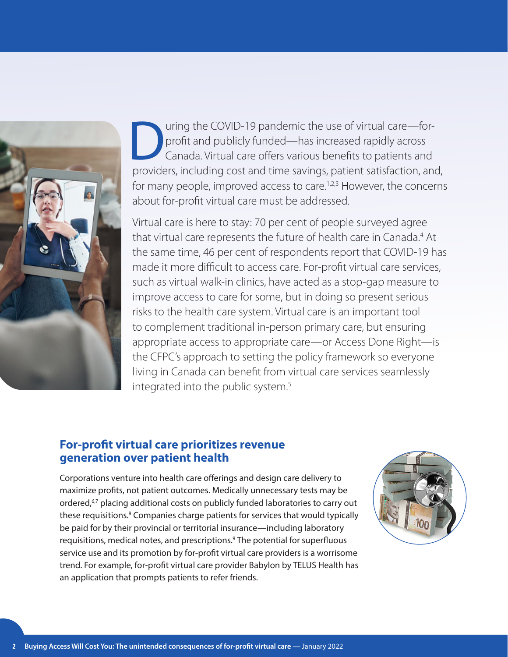<span id="page-1-0"></span>

uring the COVID-19 pandemic the use of virtual care—for-<br>profit and publicly funded—has increased rapidly across<br>Canada. Virtual care offers various benefits to patients and<br>providers including cost and time savings, patie profit and publicly funded—has increased rapidly across Canada. Virtual care offers various benefits to patients and providers, including cost and time savings, patient satisfaction, and, for many people, improved access to care.<sup>[1,2,3](#page-7-0)</sup> However, the concerns about for-profit virtual care must be addressed.

Virtual care is here to stay: 70 per cent of people surveyed agree that virtual care represents the future of health care in Canada.<sup>[4](#page-7-0)</sup> At the same time, 46 per cent of respondents report that COVID-19 has made it more difficult to access care. For-profit virtual care services, such as virtual walk-in clinics, have acted as a stop-gap measure to improve access to care for some, but in doing so present serious risks to the health care system. Virtual care is an important tool to complement traditional in-person primary care, but ensuring appropriate access to appropriate care—or Access Done Right—is the CFPC's approach to setting the policy framework so everyone living in Canada can benefit from virtual care services seamlessly integrated into the public system.<sup>5</sup>

#### **For-profit virtual care prioritizes revenue generation over patient health**

Corporations venture into health care offerings and design care delivery to maximize profits, not patient outcomes. Medically unnecessary tests may be ordered,<sup>[6,7](#page-7-0)</sup> placing additional costs on publicly funded laboratories to carry out these requisitions.<sup>8</sup> Companies charge patients for services that would typically be paid for by their provincial or territorial insurance—including laboratory requisitions, medical notes, and prescriptions.<sup>9</sup> The potential for superfluous service use and its promotion by for-profit virtual care providers is a worrisome trend. For example, for-profit virtual care provider Babylon by TELUS Health has an application that prompts patients to refer friends.

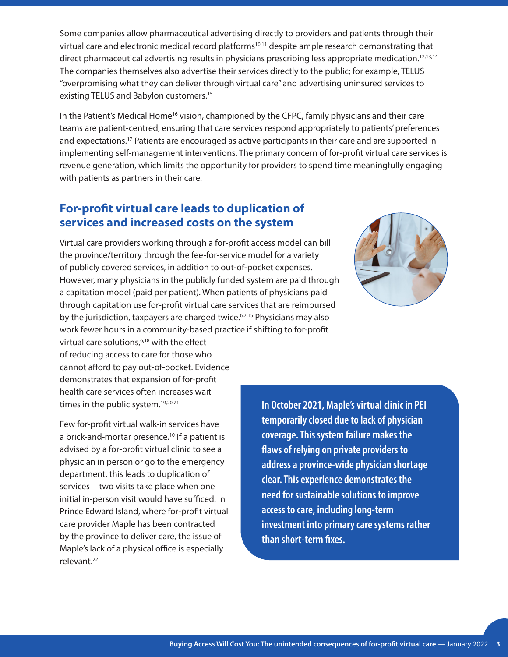<span id="page-2-0"></span>Some companies allow pharmaceutical advertising directly to providers and patients through their virtual care and electronic medical record platforms<sup>[10,11](#page-7-0)</sup> despite ample research demonstrating that direct pharmaceutical advertising results in physicians prescribing less appropriate medication.[12,13,14](#page-7-0) The companies themselves also advertise their services directly to the public; for example, TELUS "overpromising what they can deliver through virtual care" and advertising uninsured services to existing TELUS and Babylon customers.<sup>[15](#page-7-0)</sup>

In the Patient's Medical Home<sup>[16](#page-7-0)</sup> vision, championed by the CFPC, family physicians and their care teams are patient-centred, ensuring that care services respond appropriately to patients' preferences and expectations.<sup>17</sup> Patients are encouraged as active participants in their care and are supported in implementing self-management interventions. The primary concern of for-profit virtual care services is revenue generation, which limits the opportunity for providers to spend time meaningfully engaging with patients as partners in their care.

#### **For-profit virtual care leads to duplication of services and increased costs on the system**

Virtual care providers working through a for-profit access model can bill the province/territory through the fee-for-service model for a variety of publicly covered services, in addition to out-of-pocket expenses. However, many physicians in the publicly funded system are paid through a capitation model (paid per patient). When patients of physicians paid through capitation use for-profit virtual care services that are reimbursed by the jurisdiction, taxpayers are charged twice.<sup>6,7,15</sup> Physicians may also work fewer hours in a community-based practice if shifting to for-profit



virtual care solutions,<sup>6,18</sup> with the effect of reducing access to care for those who cannot afford to pay out-of-pocket. Evidence demonstrates that expansion of for-profit health care services often increases wait times in the public system.<sup>[19,20,21](#page-7-0)</sup>

Few for-profit virtual walk-in services have a brick-and-mortar presence.<sup>10</sup> If a patient is advised by a for-profit virtual clinic to see a physician in person or go to the emergency department, this leads to duplication of services—two visits take place when one initial in-person visit would have sufficed. In Prince Edward Island, where for-profit virtual care provider Maple has been contracted by the province to deliver care, the issue of Maple's lack of a physical office is especially relevant.[22](#page-8-0)

**In October 2021, Maple's virtual clinic in PEI temporarily closed due to lack of physician coverage. This system failure makes the flaws of relying on private providers to address a province-wide physician shortage clear. This experience demonstrates the need for sustainable solutions to improve access to care, including long-term investment into primary care systems rather than short-term fixes.**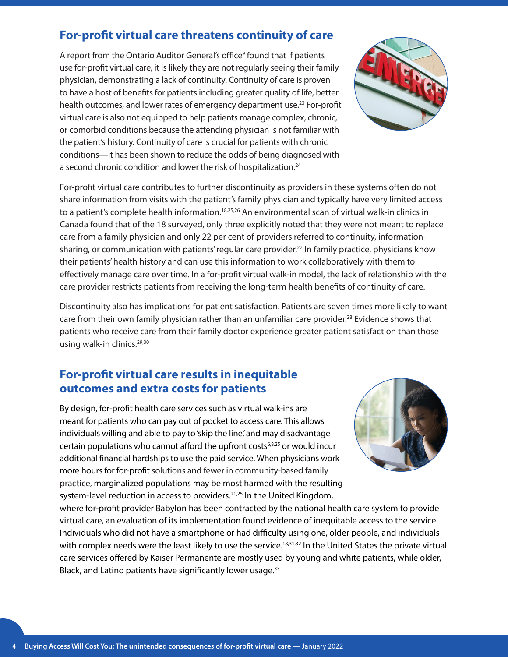# <span id="page-3-0"></span>**For-profit virtual care threatens continuity of care**

A report from the Ontario Auditor General's office<sup>9</sup> found that if patients use for-profit virtual care, it is likely they are not regularly seeing their family physician, demonstrating a lack of continuity. Continuity of care is proven to have a host of benefits for patients including greater quality of life, better health outcomes, and lower rates of emergency department use.<sup>[23](#page-8-0)</sup> For-profit virtual care is also not equipped to help patients manage complex, chronic, or comorbid conditions because the attending physician is not familiar with the patient's history. Continuity of care is crucial for patients with chronic conditions—it has been shown to reduce the odds of being diagnosed with a second chronic condition and lower the risk of hospitalization.<sup>24</sup>



For-profit virtual care contributes to further discontinuity as providers in these systems often do not share information from visits with the patient's family physician and typically have very limited access to a patient's complete health information.<sup>[18,25,26](#page-8-0)</sup> An environmental scan of virtual walk-in clinics in Canada found that of the 18 surveyed, only three explicitly noted that they were not meant to replace care from a family physician and only 22 per cent of providers referred to continuity, informationsharing, or communication with patients' regular care provider[.27](#page-8-0) In family practice, physicians know their patients' health history and can use this information to work collaboratively with them to effectively manage care over time. In a for-profit virtual walk-in model, the lack of relationship with the care provider restricts patients from receiving the long-term health benefits of continuity of care.

Discontinuity also has implications for patient satisfaction. Patients are seven times more likely to want care from their own family physician rather than an unfamiliar care provider.<sup>28</sup> Evidence shows that patients who receive care from their family doctor experience greater patient satisfaction than those using walk-in clinics.<sup>29,30</sup>

#### **For-profit virtual care results in inequitable outcomes and extra costs for patients**

By design, for-profit health care services such as virtual walk-ins are meant for patients who can pay out of pocket to access care. This allows individuals willing and able to pay to 'skip the line,' and may disadvantage certain populations who cannot afford the upfront costs<sup>6,8,25</sup> or would incur additional financial hardships to use the paid service. When physicians work more hours for for-profit solutions and fewer in community-based family practice, marginalized populations may be most harmed with the resulting system-level reduction in access to providers.<sup>21,25</sup> In the United Kingdom,



where for-profit provider Babylon has been contracted by the national health care system to provide virtual care, an evaluation of its implementation found evidence of inequitable access to the service. Individuals who did not have a smartphone or had difficulty using one, older people, and individuals with complex needs were the least likely to use the service.<sup>[18,31,32](#page-8-0)</sup> In the United States the private virtual care services offered by Kaiser Permanente are mostly used by young and white patients, while older, Black, and Latino patients have significantly lower usage.<sup>[33](#page-8-0)</sup>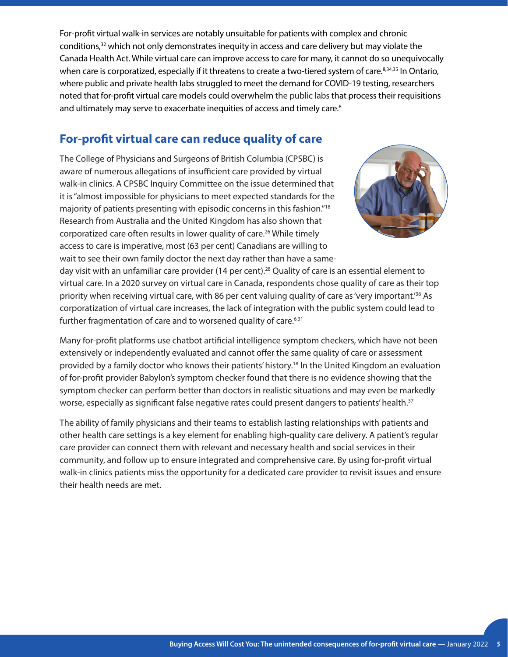<span id="page-4-0"></span>For-profit virtual walk-in services are notably unsuitable for patients with complex and chronic conditions,<sup>32</sup> which not only demonstrates inequity in access and care delivery but may violate the Canada Health Act. While virtual care can improve access to care for many, it cannot do so unequivocally when care is corporatized, especially if it threatens to create a two-tiered system of care.<sup>8,34,35</sup> In Ontario, where public and private health labs struggled to meet the demand for COVID-19 testing, researchers noted that for-profit virtual care models could overwhelm the public labs that process their requisitions and ultimately may serve to exacerbate inequities of access and timely care.<sup>8</sup>

# **For-profit virtual care can reduce quality of care**

The College of Physicians and Surgeons of British Columbia (CPSBC) is aware of numerous allegations of insufficient care provided by virtual walk-in clinics. A CPSBC Inquiry Committee on the issue determined that it is "almost impossible for physicians to meet expected standards for the majority of patients presenting with episodic concerns in this fashion."18 Research from Australia and the United Kingdom has also shown that corporatized care often results in lower quality of care.26 While timely access to care is imperative, most (63 per cent) Canadians are willing to wait to see their own family doctor the next day rather than have a same-



day visit with an unfamiliar care provider (14 per cent).<sup>28</sup> Quality of care is an essential element to virtual care. In a 2020 survey on virtual care in Canada, respondents chose quality of care as their top priority when receiving virtual care, with 86 per cent valuing quality of care as 'very important.<sup>36</sup> As corporatization of virtual care increases, the lack of integration with the public system could lead to further fragmentation of care and to worsened quality of care.<sup>6,31</sup>

Many for-profit platforms use chatbot artificial intelligence symptom checkers, which have not been extensively or independently evaluated and cannot offer the same quality of care or assessment provided by a family doctor who knows their patients' history.<sup>18</sup> In the United Kingdom an evaluation of for-profit provider Babylon's symptom checker found that there is no evidence showing that the symptom checker can perform better than doctors in realistic situations and may even be markedly worse, especially as significant false negative rates could present dangers to patients' health.<sup>37</sup>

The ability of family physicians and their teams to establish lasting relationships with patients and other health care settings is a key element for enabling high-quality care delivery. A patient's regular care provider can connect them with relevant and necessary health and social services in their community, and follow up to ensure integrated and comprehensive care. By using for-profit virtual walk-in clinics patients miss the opportunity for a dedicated care provider to revisit issues and ensure their health needs are met.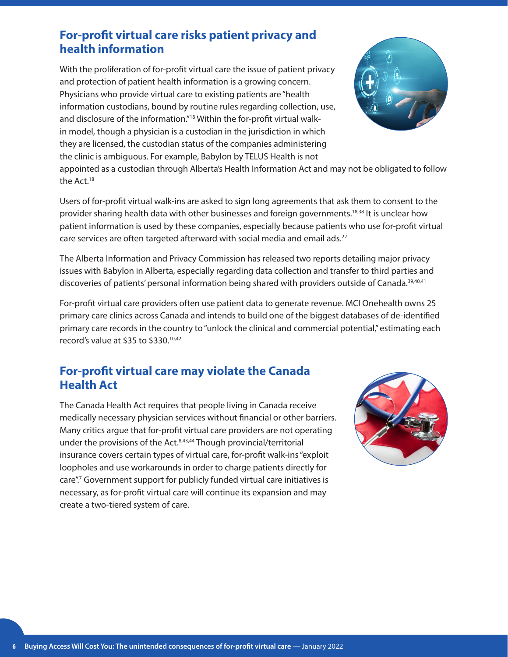### <span id="page-5-0"></span>**For-profit virtual care risks patient privacy and health information**

With the proliferation of for-profit virtual care the issue of patient privacy and protection of patient health information is a growing concern. Physicians who provide virtual care to existing patients are "health information custodians, bound by routine rules regarding collection, use, and disclosure of the information."<sup>18</sup> Within the for-profit virtual walkin model, though a physician is a custodian in the jurisdiction in which they are licensed, the custodian status of the companies administering the clinic is ambiguous. For example, Babylon by TELUS Health is not

appointed as a custodian through Alberta's Health Information Act and may not be obligated to follow the Act.<sup>18</sup>

Users of for-profit virtual walk-ins are asked to sign long agreements that ask them to consent to the provider sharing health data with other businesses and foreign governments.<sup>18,38</sup> It is unclear how patient information is used by these companies, especially because patients who use for-profit virtual care services are often targeted afterward with social media and email ads.<sup>22</sup>

The Alberta Information and Privacy Commission has released two reports detailing major privacy issues with Babylon in Alberta, especially regarding data collection and transfer to third parties and discoveries of patients' personal information being shared with providers outside of Canada.<sup>[39,40,41](#page-8-0)</sup>

For-profit virtual care providers often use patient data to generate revenue. MCI Onehealth owns 25 primary care clinics across Canada and intends to build one of the biggest databases of de-identified primary care records in the country to "unlock the clinical and commercial potential," estimating each record's value at \$35 to \$330[.10,42](#page-9-0)

### **For-profit virtual care may violate the Canada Health Act**

The Canada Health Act requires that people living in Canada receive medically necessary physician services without financial or other barriers. Many critics argue that for-profit virtual care providers are not operating under the provisions of the Act.<sup>8,43,44</sup> Though provincial/territorial insurance covers certain types of virtual care, for-profit walk-ins "exploit loopholes and use workarounds in order to charge patients directly for care".7 Government support for publicly funded virtual care initiatives is necessary, as for-profit virtual care will continue its expansion and may create a two-tiered system of care.

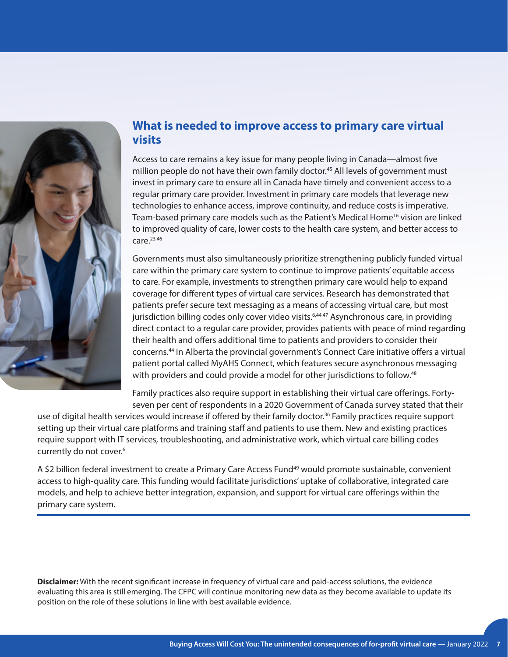<span id="page-6-0"></span>

### **What is needed to improve access to primary care virtual visits**

Access to care remains a key issue for many people living in Canada—almost five million people do not have their own family doctor.<sup>45</sup> All levels of government must invest in primary care to ensure all in Canada have timely and convenient access to a regular primary care provider. Investment in primary care models that leverage new technologies to enhance access, improve continuity, and reduce costs is imperative. Team-based primary care models such as the Patient's Medical Home<sup>16</sup> vision are linked to improved quality of care, lower costs to the health care system, and better access to  $care.<sup>23,46</sup>$ 

Governments must also simultaneously prioritize strengthening publicly funded virtual care within the primary care system to continue to improve patients' equitable access to care. For example, investments to strengthen primary care would help to expand coverage for different types of virtual care services. Research has demonstrated that patients prefer secure text messaging as a means of accessing virtual care, but most jurisdiction billing codes only cover video visits.<sup>6,44,47</sup> Asynchronous care, in providing direct contact to a regular care provider, provides patients with peace of mind regarding their health and offers additional time to patients and providers to consider their concerns.44 In Alberta the provincial government's Connect Care initiative offers a virtual patient portal called MyAHS Connect, which features secure asynchronous messaging with providers and could provide a model for other jurisdictions to follow.<sup>[48](#page-9-0)</sup>

Family practices also require support in establishing their virtual care offerings. Fortyseven per cent of respondents in a 2020 Government of Canada survey stated that their

use of digital health services would increase if offered by their family doctor.<sup>36</sup> Family practices require support setting up their virtual care platforms and training staff and patients to use them. New and existing practices require support with IT services, troubleshooting, and administrative work, which virtual care billing codes currently do not cover.<sup>6</sup>

A \$2 billion federal investment to create a Primary Care Access Fund<sup>[49](#page-9-0)</sup> would promote sustainable, convenient access to high-quality care. This funding would facilitate jurisdictions' uptake of collaborative, integrated care models, and help to achieve better integration, expansion, and support for virtual care offerings within the primary care system.

**Disclaimer:** With the recent significant increase in frequency of virtual care and paid-access solutions, the evidence evaluating this area is still emerging. The CFPC will continue monitoring new data as they become available to update its position on the role of these solutions in line with best available evidence.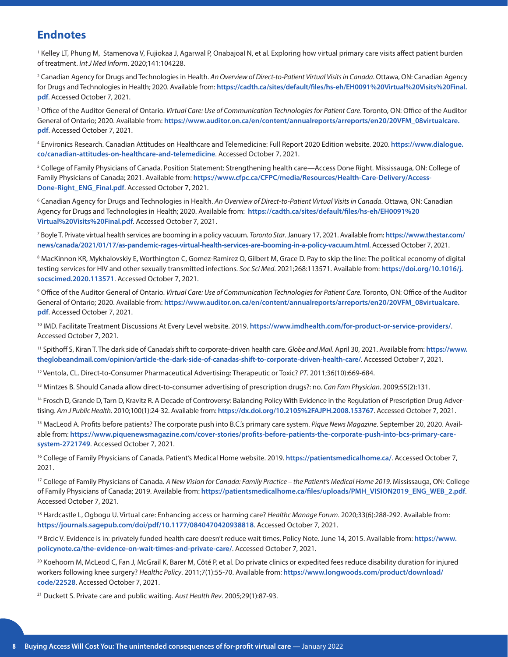#### <span id="page-7-0"></span>**Endnotes**

[1](#page-1-0) Kelley LT, Phung M, Stamenova V, Fujiokaa J, Agarwal P, OnabajoaI N, et al. Exploring how virtual primary care visits affect patient burden of treatment. *Int J Med Inform*. 2020;141:104228.

[2](#page-1-0) Canadian Agency for Drugs and Technologies in Health. *An Overview of Direct-to-Patient Virtual Visits in Canada*. Ottawa, ON: Canadian Agency for Drugs and Technologies in Health; 2020. Available from: **[https://cadth.ca/sites/default/files/hs-eh/EH0091%20Virtual%20Visits%20Final.](https://cadth.ca/sites/default/files/hs-eh/EH0091%20Virtual%20Visits%20Final.pdf) [pdf](https://cadth.ca/sites/default/files/hs-eh/EH0091%20Virtual%20Visits%20Final.pdf)**. Accessed October 7, 2021.

<sup>[3](#page-1-0)</sup> Office of the Auditor General of Ontario. *Virtual Care: Use of Communication Technologies for Patient Care*. Toronto, ON: Office of the Auditor General of Ontario; 2020. Available from: **[https://www.auditor.on.ca/en/content/annualreports/arreports/en20/20VFM\\_08virtualcare.](https://www.auditor.on.ca/en/content/annualreports/arreports/en20/20VFM_08virtualcare.pdf) [pdf](https://www.auditor.on.ca/en/content/annualreports/arreports/en20/20VFM_08virtualcare.pdf)**. Accessed October 7, 2021.

[4](#page-1-0) Environics Research. Canadian Attitudes on Healthcare and Telemedicine: Full Report 2020 Edition website. 2020. **[https://www.dialogue.](https://www.dialogue.co/canadian-attitudes-on-healthcare-and-telemedicine) [co/canadian-attitudes-on-healthcare-and-telemedicine](https://www.dialogue.co/canadian-attitudes-on-healthcare-and-telemedicine)**. Accessed October 7, 2021.

[5](#page-1-0) College of Family Physicians of Canada. Position Statement: Strengthening health care—Access Done Right. Mississauga, ON: College of Family Physicians of Canada; 2021. Available from: **[https://www.cfpc.ca/CFPC/media/Resources/Health-Care-Delivery/Access-](https://www.cfpc.ca/CFPC/media/Resources/Health-Care-Delivery/Access-Done-Right_ENG_Final.pdf)[Done-Right\\_ENG\\_Final.pdf](https://www.cfpc.ca/CFPC/media/Resources/Health-Care-Delivery/Access-Done-Right_ENG_Final.pdf)**. Accessed October 7, 2021.

[6](#page-1-0) Canadian Agency for Drugs and Technologies in Health. *An Overview of Direct-to-Patient Virtual Visits in Canada*. Ottawa, ON: Canadian Agency for Drugs and Technologies in Health; 2020. Available from: **[https://cadth.ca/sites/default/files/hs-eh/EH0091%20](https://cadth.ca/sites/default/files/hs-eh/EH0091%20Virtual%20Visits%20Final.pdf) [Virtual%20Visits%20Final.pdf](https://cadth.ca/sites/default/files/hs-eh/EH0091%20Virtual%20Visits%20Final.pdf)**. Accessed October 7, 2021.

[7](#page-1-0) Boyle T. Private virtual health services are booming in a policy vacuum. *Toronto Star*. January 17, 2021. Available from: **[https://www.thestar.com/](https://www.thestar.com/news/canada/2021/01/17/as-pandemic-rages-virtual-health-services-are-booming-in-a-policy-vacuum.html) [news/canada/2021/01/17/as-pandemic-rages-virtual-health-services-are-booming-in-a-policy-vacuum.html](https://www.thestar.com/news/canada/2021/01/17/as-pandemic-rages-virtual-health-services-are-booming-in-a-policy-vacuum.html)**. Accessed October 7, 2021.

8 MacKinnon KR, Mykhalovskiy E, Worthington C, Gomez-Ramirez O, Gilbert M, Grace D. Pay to skip the line: The political economy of digital testing services for HIV and other sexually transmitted infections. *Soc Sci Med*. 2021;268:113571. Available from: **[https://doi.org/10.1016/j.](https://doi.org/10.1016/j.socscimed.2020.113571) [socscimed.2020.113571](https://doi.org/10.1016/j.socscimed.2020.113571)**. Accessed October 7, 2021.

[9](#page-1-0) Office of the Auditor General of Ontario. *Virtual Care: Use of Communication Technologies for Patient Care*. Toronto, ON: Office of the Auditor General of Ontario; 2020. Available from: **[https://www.auditor.on.ca/en/content/annualreports/arreports/en20/20VFM\\_08virtualcare.](https://www.auditor.on.ca/en/content/annualreports/arreports/en20/20VFM_08virtualcare.pdf) [pdf](https://www.auditor.on.ca/en/content/annualreports/arreports/en20/20VFM_08virtualcare.pdf)**. Accessed October 7, 2021.

[10](#page-2-0) IMD. Facilitate Treatment Discussions At Every Level website. 2019. **https://www.imdhealth.com/for-product-or-service-providers/**. Accessed October 7, 2021.

11 Spithoff S, Kiran T. The dark side of Canada's shift to corporate-driven health care. *Globe and Mail*. April 30, 2021. Available from: **[https://www.](https://www.theglobeandmail.com/opinion/article-the-dark-side-of-canadas-shift-to-corporate-driven-health-care/) [theglobeandmail.com/opinion/article-the-dark-side-of-canadas-shift-to-corporate-driven-health-care/](https://www.theglobeandmail.com/opinion/article-the-dark-side-of-canadas-shift-to-corporate-driven-health-care/)**. Accessed October 7, 2021.

[12](#page-2-0) Ventola, CL. Direct-to-Consumer Pharmaceutical Advertising: Therapeutic or Toxic? *PT*. 2011;36(10):669-684.

13 Mintzes B. Should Canada allow direct-to-consumer advertising of prescription drugs?: no. *Can Fam Physician*. 2009;55(2):131.

<sup>14</sup> Frosch D, Grande D, Tarn D, Kravitz R. A Decade of Controversy: Balancing Policy With Evidence in the Regulation of Prescription Drug Advertising. *Am J Public Health*. 2010;100(1):24-32. Available from: **<https://dx.doi.org/10.2105%2FAJPH.2008.153767>**. Accessed October 7, 2021.

<sup>15</sup> MacLeod A. Profits before patients? The corporate push into B.C.'s primary care system. Pique News Magazine. September 20, 2020. Available from: **[https://www.piquenewsmagazine.com/cover-stories/profits-before-patients-the-corporate-push-into-bcs-primary-care](https://www.piquenewsmagazine.com/cover-stories/profits-before-patients-the-corporate-push-into-bcs-primary-care-system-2721749)[system-2721749](https://www.piquenewsmagazine.com/cover-stories/profits-before-patients-the-corporate-push-into-bcs-primary-care-system-2721749)**. Accessed October 7, 2021.

<sup>[16](#page-2-0)</sup> College of Family Physicians of Canada. Patient's Medical Home website. 2019. <https://patientsmedicalhome.ca/>. Accessed October 7, 2021.

17 College of Family Physicians of Canada. *A New Vision for Canada: Family Practice – the Patient's Medical Home 2019*. Mississauga, ON: College of Family Physicians of Canada; 2019. Available from: **[https://patientsmedicalhome.ca/files/uploads/PMH\\_VISION2019\\_ENG\\_WEB\\_2.pdf](https://patientsmedicalhome.ca/files/uploads/PMH_VISION2019_ENG_WEB_2.pdf)**. Accessed October 7, 2021.

<sup>18</sup> Hardcastle L, Ogbogu U. Virtual care: Enhancing access or harming care? *Healthc Manage Forum*. 2020;33(6):288-292. Available from: **<https://journals.sagepub.com/doi/pdf/10.1177/0840470420938818>**. Accessed October 7, 2021.

19 Brcic V. Evidence is in: privately funded health care doesn't reduce wait times. Policy Note. June 14, 2015. Available from: **[https://www.](https://www.policynote.ca/the-evidence-on-wait-times-and-private-care/) [policynote.ca/the-evidence-on-wait-times-and-private-care/](https://www.policynote.ca/the-evidence-on-wait-times-and-private-care/)**. Accessed October 7, 2021.

<sup>[20](#page-2-0)</sup> Koehoorn M, McLeod C, Fan J, McGrail K, Barer M, Côté P, et al. Do private clinics or expedited fees reduce disability duration for injured workers following knee surgery? *Healthc Policy*. 2011;7(1):55-70. Available from: **[https://www.longwoods.com/product/download/](https://www.longwoods.com/product/download/code/22528) [code/22528](https://www.longwoods.com/product/download/code/22528)**. Accessed October 7, 2021.

[21](#page-2-0) Duckett S. Private care and public waiting. *Aust Health Rev*. 2005;29(1):87-93.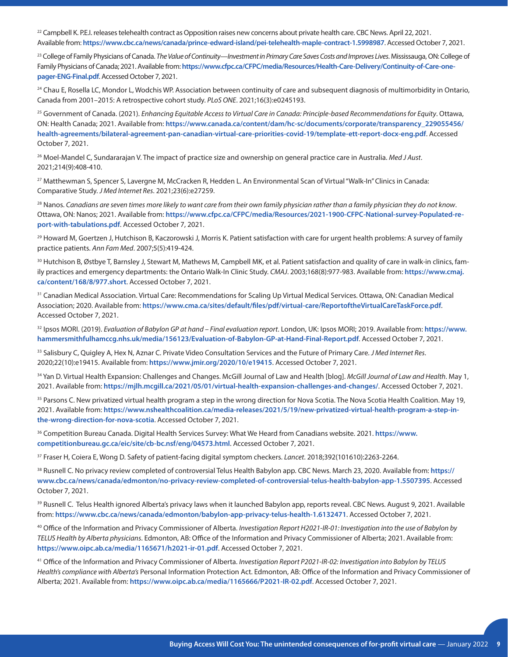<span id="page-8-0"></span><sup>[22](#page-2-0)</sup> Campbell K. P.E.I. releases telehealth contract as Opposition raises new concerns about private health care. CBC News. April 22, 2021. Available from: **<https://www.cbc.ca/news/canada/prince-edward-island/pei-telehealth-maple-contract-1.5998987>**. Accessed October 7, 2021.

23 College of Family Physicians of Canada. *The Value of Continuity—Investment in Primary Care Saves Costs and Improves Lives*. Mississauga, ON: College of Family Physicians of Canada; 2021. Available from: [https://www.cfpc.ca/CFPC/media/Resources/Health-Care-Delivery/Continuity-of-Care-one](https://www.cfpc.ca/CFPC/media/Resources/Health-Care-Delivery/Continuity-of-Care-one-pager-ENG-Final.pdf)**[pager-ENG-Final.pdf](https://www.cfpc.ca/CFPC/media/Resources/Health-Care-Delivery/Continuity-of-Care-one-pager-ENG-Final.pdf)**. Accessed October 7, 2021.

<sup>[24](#page-3-0)</sup> Chau E, Rosella LC, Mondor L, Wodchis WP. Association between continuity of care and subsequent diagnosis of multimorbidity in Ontario, Canada from 2001–2015: A retrospective cohort study. *PLoS ONE*. 2021;16(3):e0245193.

[25](#page-3-0) Government of Canada. (2021). *Enhancing Equitable Access to Virtual Care in Canada: Principle-based Recommendations for Equity*. Ottawa, ON: Health Canada; 2021. Available from: **[https://www.canada.ca/content/dam/hc-sc/documents/corporate/transparency\\_229055456/](https://www.canada.ca/content/dam/hc-sc/documents/corporate/transparency_229055456/health-agreements/bilateral-agreement-pan-canadian-virtual-care-priorities-covid-19/template-ett-report-docx-eng.pdf) [health-agreements/bilateral-agreement-pan-canadian-virtual-care-priorities-covid-19/template-ett-report-docx-eng.pdf](https://www.canada.ca/content/dam/hc-sc/documents/corporate/transparency_229055456/health-agreements/bilateral-agreement-pan-canadian-virtual-care-priorities-covid-19/template-ett-report-docx-eng.pdf)**. Accessed October 7, 2021.

[26](#page-3-0) Moel-Mandel C, Sundararajan V. The impact of practice size and ownership on general practice care in Australia. *Med J Aust*. 2021;214(9):408-410.

[27](#page-3-0) Matthewman S, Spencer S, Lavergne M, McCracken R, Hedden L. An Environmental Scan of Virtual "Walk-In" Clinics in Canada: Comparative Study. *J Med Internet Res*. 2021;23(6):e27259.

[28](#page-3-0) Nanos. *Canadians are seven times more likely to want care from their own family physician rather than a family physician they do not know*. Ottawa, ON: Nanos; 2021. Available from: **[https://www.cfpc.ca/CFPC/media/Resources/2021-1900-CFPC-National-survey-Populated-re](https://www.cfpc.ca/CFPC/media/Resources/2021-1900-CFPC-National-survey-Populated-report-with-tabulations.pdf)[port-with-tabulations.pdf](https://www.cfpc.ca/CFPC/media/Resources/2021-1900-CFPC-National-survey-Populated-report-with-tabulations.pdf)**. Accessed October 7, 2021.

<sup>29</sup> Howard M, Goertzen J, Hutchison B, Kaczorowski J, Morris K. Patient satisfaction with care for urgent health problems: A survey of family practice patients. *Ann Fam Med*. 2007;5(5):419-424.

<sup>[30](#page-3-0)</sup> Hutchison B, Østbye T, Barnsley J, Stewart M, Mathews M, Campbell MK, et al. Patient satisfaction and quality of care in walk-in clinics, family practices and emergency departments: the Ontario Walk-In Clinic Study. *CMAJ*. 2003;168(8):977-983. Available from: **[https://www.cmaj.](https://www.cmaj.ca/content/168/8/977.short) [ca/content/168/8/977.short](https://www.cmaj.ca/content/168/8/977.short)**. Accessed October 7, 2021.

<sup>[31](#page-3-0)</sup> Canadian Medical Association. Virtual Care: Recommendations for Scaling Up Virtual Medical Services. Ottawa, ON: Canadian Medical Association; 2020. Available from: **<https://www.cma.ca/sites/default/files/pdf/virtual-care/ReportoftheVirtualCareTaskForce.pdf>**. Accessed October 7, 2021.

[32](#page-3-0) Ipsos MORI. (2019). *Evaluation of Babylon GP at hand – Final evaluation report*. London, UK: Ipsos MORI; 2019. Available from: **[https://www.](https://www.hammersmithfulhamccg.nhs.uk/media/156123/Evaluation-of-Babylon-GP-at-Hand-Final-Report.pdf) [hammersmithfulhamccg.nhs.uk/media/156123/Evaluation-of-Babylon-GP-at-Hand-Final-Report.pdf](https://www.hammersmithfulhamccg.nhs.uk/media/156123/Evaluation-of-Babylon-GP-at-Hand-Final-Report.pdf)**. Accessed October 7, 2021.

[33](#page-3-0) Salisbury C, Quigley A, Hex N, Aznar C. Private Video Consultation Services and the Future of Primary Care. *J Med Internet Res*. 2020;22(10):e19415. Available from: **<https://www.jmir.org/2020/10/e19415>**. Accessed October 7, 2021.

[34](#page-4-0) Yan D. Virtual Health Expansion: Challenges and Changes. McGill Journal of Law and Health [blog]. *McGill Journal of Law and Health*. May 1, 2021. Available from: **<https://mjlh.mcgill.ca/2021/05/01/virtual-health-expansion-challenges-and-changes/>**. Accessed October 7, 2021.

<sup>[35](#page-4-0)</sup> Parsons C. New privatized virtual health program a step in the wrong direction for Nova Scotia. The Nova Scotia Health Coalition. May 19, 2021. Available from: **[https://www.nshealthcoalition.ca/media-releases/2021/5/19/new-privatized-virtual-health-program-a-step-in](https://www.nshealthcoalition.ca/media-releases/2021/5/19/new-privatized-virtual-health-program-a-step-in-the-wrong-direction-for-nova-scotia)[the-wrong-direction-for-nova-scotia](https://www.nshealthcoalition.ca/media-releases/2021/5/19/new-privatized-virtual-health-program-a-step-in-the-wrong-direction-for-nova-scotia)**. Accessed October 7, 2021.

36 Competition Bureau Canada. Digital Health Services Survey: What We Heard from Canadians website. 2021. **[https://www.](https://www.competitionbureau.gc.ca/eic/site/cb-bc.nsf/eng/04573.html) [competitionbureau.gc.ca/eic/site/cb-bc.nsf/eng/04573.html](https://www.competitionbureau.gc.ca/eic/site/cb-bc.nsf/eng/04573.html)**. Accessed October 7, 2021.

[37](#page-4-0) Fraser H, Coiera E, Wong D. Safety of patient-facing digital symptom checkers. *Lancet*. 2018;392(101610):2263-2264.

[38](#page-5-0) Rusnell C. No privacy review completed of controversial Telus Health Babylon app. CBC News. March 23, 2020. Available from: **[https://](https://www.cbc.ca/news/canada/edmonton/no-privacy-review-completed-of-controversial-telus-health-babylon-app-1.5507395) [www.cbc.ca/news/canada/edmonton/no-privacy-review-completed-of-controversial-telus-health-babylon-app-1.5507395](https://www.cbc.ca/news/canada/edmonton/no-privacy-review-completed-of-controversial-telus-health-babylon-app-1.5507395)**. Accessed October 7, 2021.

<sup>[39](#page-5-0)</sup> Rusnell C. Telus Health ignored Alberta's privacy laws when it launched Babylon app, reports reveal. CBC News. August 9, 2021. Available from: **<https://www.cbc.ca/news/canada/edmonton/babylon-app-privacy-telus-health-1.6132471>**. Accessed October 7, 2021.

[40](#page-5-0) Office of the Information and Privacy Commissioner of Alberta. *Investigation Report H2021-IR-01: Investigation into the use of Babylon by TELUS Health by Alberta physicians*. Edmonton, AB: Office of the Information and Privacy Commissioner of Alberta; 2021. Available from: **<https://www.oipc.ab.ca/media/1165671/h2021-ir-01.pdf>**. Accessed October 7, 2021.

41 Office of the Information and Privacy Commissioner of Alberta. *Investigation Report P2021-IR-02: Investigation into Babylon by TELUS Health's compliance with Alberta's* Personal Information Protection Act. Edmonton, AB: Office of the Information and Privacy Commissioner of Alberta; 2021. Available from: **<https://www.oipc.ab.ca/media/1165666/P2021-IR-02.pdf>**. Accessed October 7, 2021.